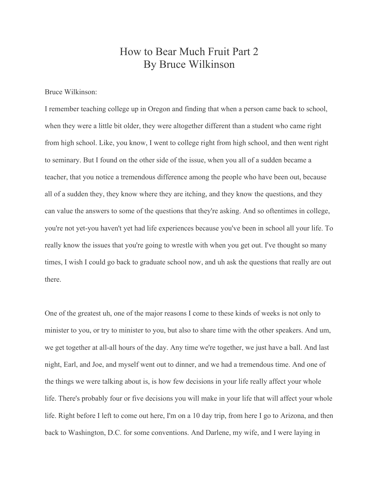# How to Bear Much Fruit Part 2 By Bruce Wilkinson

Bruce Wilkinson:

I remember teaching college up in Oregon and finding that when a person came back to school, when they were a little bit older, they were altogether different than a student who came right from high school. Like, you know, I went to college right from high school, and then went right to seminary. But I found on the other side of the issue, when you all of a sudden became a teacher, that you notice a tremendous difference among the people who have been out, because all of a sudden they, they know where they are itching, and they know the questions, and they can value the answers to some of the questions that they're asking. And so oftentimes in college, you're not yet-you haven't yet had life experiences because you've been in school all your life. To really know the issues that you're going to wrestle with when you get out. I've thought so many times, I wish I could go back to graduate school now, and uh ask the questions that really are out there.

One of the greatest uh, one of the major reasons I come to these kinds of weeks is not only to minister to you, or try to minister to you, but also to share time with the other speakers. And um, we get together at all-all hours of the day. Any time we're together, we just have a ball. And last night, Earl, and Joe, and myself went out to dinner, and we had a tremendous time. And one of the things we were talking about is, is how few decisions in your life really affect your whole life. There's probably four or five decisions you will make in your life that will affect your whole life. Right before I left to come out here, I'm on a 10 day trip, from here I go to Arizona, and then back to Washington, D.C. for some conventions. And Darlene, my wife, and I were laying in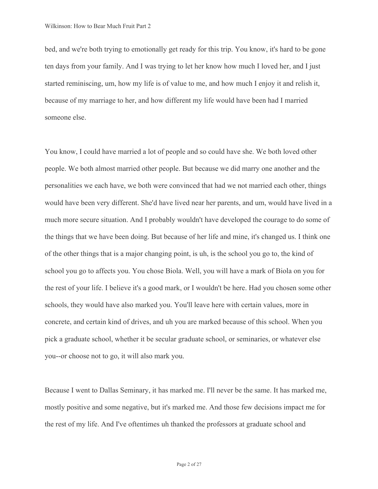bed, and we're both trying to emotionally get ready for this trip. You know, it's hard to be gone ten days from your family. And I was trying to let her know how much I loved her, and I just started reminiscing, um, how my life is of value to me, and how much I enjoy it and relish it, because of my marriage to her, and how different my life would have been had I married someone else.

 you--or choose not to go, it will also mark you. You know, I could have married a lot of people and so could have she. We both loved other people. We both almost married other people. But because we did marry one another and the personalities we each have, we both were convinced that had we not married each other, things would have been very different. She'd have lived near her parents, and um, would have lived in a much more secure situation. And I probably wouldn't have developed the courage to do some of the things that we have been doing. But because of her life and mine, it's changed us. I think one of the other things that is a major changing point, is uh, is the school you go to, the kind of school you go to affects you. You chose Biola. Well, you will have a mark of Biola on you for the rest of your life. I believe it's a good mark, or I wouldn't be here. Had you chosen some other schools, they would have also marked you. You'll leave here with certain values, more in concrete, and certain kind of drives, and uh you are marked because of this school. When you pick a graduate school, whether it be secular graduate school, or seminaries, or whatever else

Because I went to Dallas Seminary, it has marked me. I'll never be the same. It has marked me, mostly positive and some negative, but it's marked me. And those few decisions impact me for the rest of my life. And I've oftentimes uh thanked the professors at graduate school and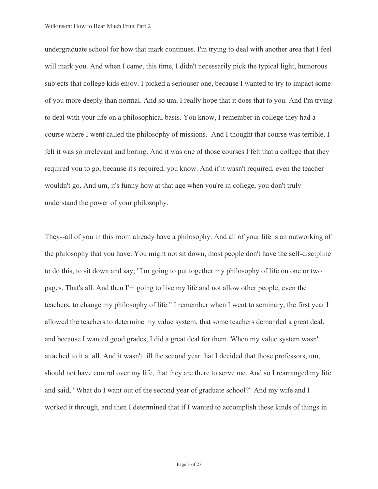undergraduate school for how that mark continues. I'm trying to deal with another area that I feel will mark you. And when I came, this time, I didn't necessarily pick the typical light, humorous subjects that college kids enjoy. I picked a seriouser one, because I wanted to try to impact some of you more deeply than normal. And so um, I really hope that it does that to you. And I'm trying to deal with your life on a philosophical basis. You know, I remember in college they had a course where I went called the philosophy of missions. And I thought that course was terrible. I felt it was so irrelevant and boring. And it was one of those courses I felt that a college that they required you to go, because it's required, you know. And if it wasn't required, even the teacher wouldn't go. And um, it's funny how at that age when you're in college, you don't truly understand the power of your philosophy.

They--all of you in this room already have a philosophy. And all of your life is an outworking of the philosophy that you have. You might not sit down, most people don't have the self-discipline to do this, to sit down and say, "I'm going to put together my philosophy of life on one or two pages. That's all. And then I'm going to live my life and not allow other people, even the teachers, to change my philosophy of life." I remember when I went to seminary, the first year I allowed the teachers to determine my value system, that some teachers demanded a great deal, and because I wanted good grades, I did a great deal for them. When my value system wasn't attached to it at all. And it wasn't till the second year that I decided that those professors, um, should not have control over my life, that they are there to serve me. And so I rearranged my life and said, "What do I want out of the second year of graduate school?" And my wife and I worked it through, and then I determined that if I wanted to accomplish these kinds of things in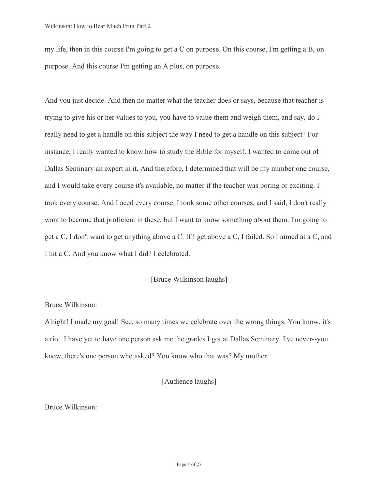my life, then in this course I'm going to get a C on purpose. On this course, I'm getting a B, on purpose. And this course I'm getting an A plus, on purpose.

And you just decide. And then no matter what the teacher does or says, because that teacher is trying to give his or her values to you, you have to value them and weigh them, and say, do I really need to get a handle on this subject the way I need to get a handle on this subject? For instance, I really wanted to know how to study the Bible for myself. I wanted to come out of Dallas Seminary an expert in it. And therefore, I determined that will be my number one course, and I would take every course it's available, no matter if the teacher was boring or exciting. I took every course. And I aced every course. I took some other courses, and I said, I don't really want to become that proficient in these, but I want to know something about them. I'm going to get a C. I don't want to get anything above a C. If I get above a C, I failed. So I aimed at a C, and I hit a C. And you know what I did? I celebrated.

# [Bruce Wilkinson laughs]

#### Bruce Wilkinson:

Alright! I made my goal! See, so many times we celebrate over the wrong things. You know, it's a riot. I have yet to have one person ask me the grades I got at Dallas Seminary. I've never--you know, there's one person who asked? You know who that was? My mother.

# [Audience laughs]

Bruce Wilkinson: Bruce Wilkinson:<br>
Page 4 of 27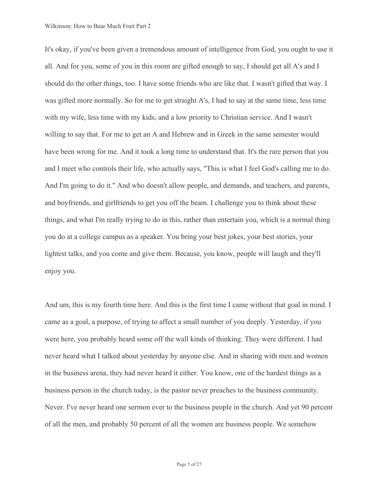And I'm going to do it." And who doesn't allow people, and demands, and teachers, and parents, It's okay, if you've been given a tremendous amount of intelligence from God, you ought to use it all. And for you, some of you in this room are gifted enough to say, I should get all A's and I should do the other things, too. I have some friends who are like that. I wasn't gifted that way. I was gifted more normally. So for me to get straight A's, I had to say at the same time, less time with my wife, less time with my kids, and a low priority to Christian service. And I wasn't willing to say that. For me to get an A and Hebrew and in Greek in the same semester would have been wrong for me. And it took a long time to understand that. It's the rare person that you and I meet who controls their life, who actually says, "This is what I feel God's calling me to do. and boyfriends, and girlfriends to get you off the beam. I challenge you to think about these things, and what I'm really trying to do in this, rather than entertain you, which is a normal thing you do at a college campus as a speaker. You bring your best jokes, your best stories, your lightest talks, and you come and give them. Because, you know, people will laugh and they'll enjoy you.

And um, this is my fourth time here. And this is the first time I came without that goal in mind. I came as a goal, a purpose, of trying to affect a small number of you deeply. Yesterday, if you were here, you probably heard some off the wall kinds of thinking. They were different. I had never heard what I talked about yesterday by anyone else. And in sharing with men and women in the business arena, they had never heard it either. You know, one of the hardest things as a business person in the church today, is the pastor never preaches to the business community. Never. I've never heard one sermon ever to the business people in the church. And yet 90 percent of all the men, and probably 50 percent of all the women are business people. We somehow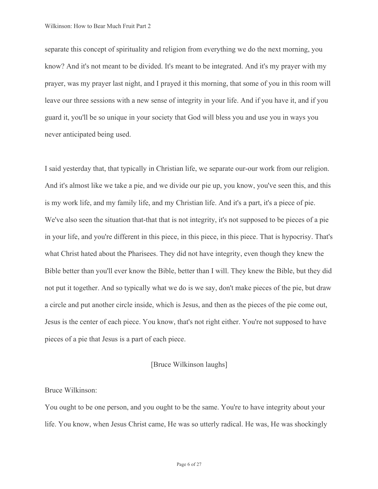separate this concept of spirituality and religion from everything we do the next morning, you know? And it's not meant to be divided. It's meant to be integrated. And it's my prayer with my prayer, was my prayer last night, and I prayed it this morning, that some of you in this room will leave our three sessions with a new sense of integrity in your life. And if you have it, and if you guard it, you'll be so unique in your society that God will bless you and use you in ways you never anticipated being used.

I said yesterday that, that typically in Christian life, we separate our-our work from our religion. And it's almost like we take a pie, and we divide our pie up, you know, you've seen this, and this is my work life, and my family life, and my Christian life. And it's a part, it's a piece of pie. We've also seen the situation that-that that is not integrity, it's not supposed to be pieces of a pie in your life, and you're different in this piece, in this piece, in this piece. That is hypocrisy. That's what Christ hated about the Pharisees. They did not have integrity, even though they knew the Bible better than you'll ever know the Bible, better than I will. They knew the Bible, but they did not put it together. And so typically what we do is we say, don't make pieces of the pie, but draw a circle and put another circle inside, which is Jesus, and then as the pieces of the pie come out, Jesus is the center of each piece. You know, that's not right either. You're not supposed to have pieces of a pie that Jesus is a part of each piece.

# [Bruce Wilkinson laughs]

#### Bruce Wilkinson:

You ought to be one person, and you ought to be the same. You're to have integrity about your life. You know, when Jesus Christ came, He was so utterly radical. He was, He was shockingly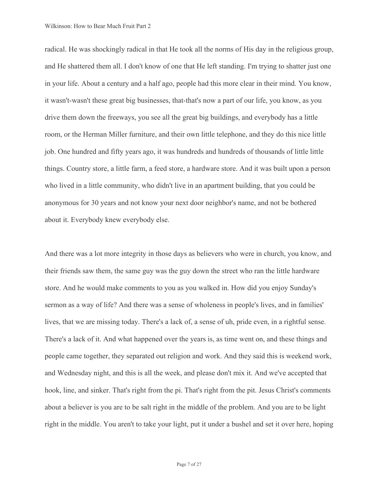radical. He was shockingly radical in that He took all the norms of His day in the religious group, and He shattered them all. I don't know of one that He left standing. I'm trying to shatter just one in your life. About a century and a half ago, people had this more clear in their mind. You know, it wasn't-wasn't these great big businesses, that-that's now a part of our life, you know, as you drive them down the freeways, you see all the great big buildings, and everybody has a little room, or the Herman Miller furniture, and their own little telephone, and they do this nice little job. One hundred and fifty years ago, it was hundreds and hundreds of thousands of little little things. Country store, a little farm, a feed store, a hardware store. And it was built upon a person who lived in a little community, who didn't live in an apartment building, that you could be anonymous for 30 years and not know your next door neighbor's name, and not be bothered about it. Everybody knew everybody else.

And there was a lot more integrity in those days as believers who were in church, you know, and their friends saw them, the same guy was the guy down the street who ran the little hardware store. And he would make comments to you as you walked in. How did you enjoy Sunday's sermon as a way of life? And there was a sense of wholeness in people's lives, and in families' lives, that we are missing today. There's a lack of, a sense of uh, pride even, in a rightful sense. There's a lack of it. And what happened over the years is, as time went on, and these things and people came together, they separated out religion and work. And they said this is weekend work, and Wednesday night, and this is all the week, and please don't mix it. And we've accepted that hook, line, and sinker. That's right from the pi. That's right from the pit. Jesus Christ's comments about a believer is you are to be salt right in the middle of the problem. And you are to be light right in the middle. You aren't to take your light, put it under a bushel and set it over here, hoping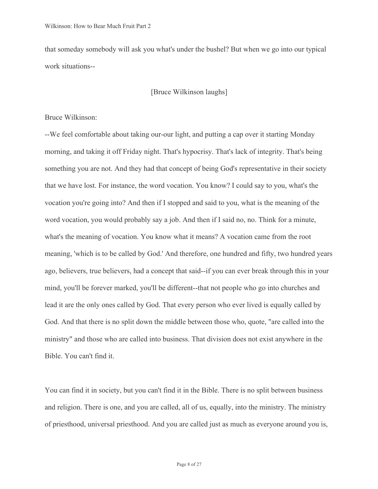that someday somebody will ask you what's under the bushel? But when we go into our typical work situations--

[Bruce Wilkinson laughs]

# Bruce Wilkinson:

--We feel comfortable about taking our-our light, and putting a cap over it starting Monday morning, and taking it off Friday night. That's hypocrisy. That's lack of integrity. That's being something you are not. And they had that concept of being God's representative in their society that we have lost. For instance, the word vocation. You know? I could say to you, what's the vocation you're going into? And then if I stopped and said to you, what is the meaning of the word vocation, you would probably say a job. And then if I said no, no. Think for a minute, what's the meaning of vocation. You know what it means? A vocation came from the root meaning, 'which is to be called by God.' And therefore, one hundred and fifty, two hundred years ago, believers, true believers, had a concept that said--if you can ever break through this in your mind, you'll be forever marked, you'll be different--that not people who go into churches and lead it are the only ones called by God. That every person who ever lived is equally called by God. And that there is no split down the middle between those who, quote, "are called into the ministry" and those who are called into business. That division does not exist anywhere in the Bible. You can't find it.

You can find it in society, but you can't find it in the Bible. There is no split between business and religion. There is one, and you are called, all of us, equally, into the ministry. The ministry of priesthood, universal priesthood. And you are called just as much as everyone around you is,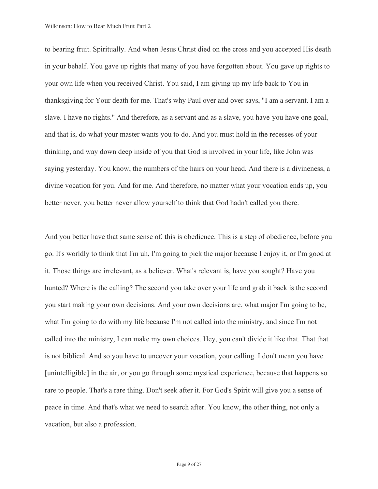to bearing fruit. Spiritually. And when Jesus Christ died on the cross and you accepted His death in your behalf. You gave up rights that many of you have forgotten about. You gave up rights to your own life when you received Christ. You said, I am giving up my life back to You in thanksgiving for Your death for me. That's why Paul over and over says, "I am a servant. I am a slave. I have no rights." And therefore, as a servant and as a slave, you have-you have one goal, and that is, do what your master wants you to do. And you must hold in the recesses of your thinking, and way down deep inside of you that God is involved in your life, like John was saying yesterday. You know, the numbers of the hairs on your head. And there is a divineness, a divine vocation for you. And for me. And therefore, no matter what your vocation ends up, you better never, you better never allow yourself to think that God hadn't called you there.

And you better have that same sense of, this is obedience. This is a step of obedience, before you go. It's worldly to think that I'm uh, I'm going to pick the major because I enjoy it, or I'm good at it. Those things are irrelevant, as a believer. What's relevant is, have you sought? Have you hunted? Where is the calling? The second you take over your life and grab it back is the second you start making your own decisions. And your own decisions are, what major I'm going to be, what I'm going to do with my life because I'm not called into the ministry, and since I'm not called into the ministry, I can make my own choices. Hey, you can't divide it like that. That that is not biblical. And so you have to uncover your vocation, your calling. I don't mean you have [unintelligible] in the air, or you go through some mystical experience, because that happens so rare to people. That's a rare thing. Don't seek after it. For God's Spirit will give you a sense of peace in time. And that's what we need to search after. You know, the other thing, not only a vacation, but also a profession.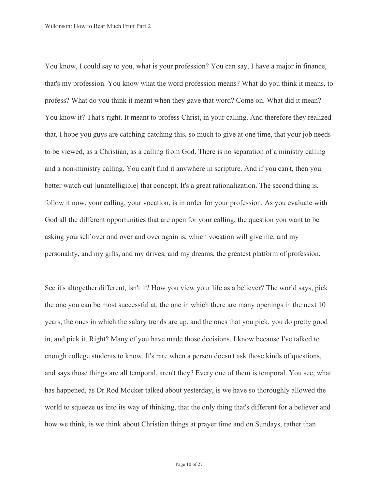You know, I could say to you, what is your profession? You can say, I have a major in finance, that's my profession. You know what the word profession means? What do you think it means, to profess? What do you think it meant when they gave that word? Come on. What did it mean? You know it? That's right. It meant to profess Christ, in your calling. And therefore they realized that, I hope you guys are catching-catching this, so much to give at one time, that your job needs to be viewed, as a Christian, as a calling from God. There is no separation of a ministry calling and a non-ministry calling. You can't find it anywhere in scripture. And if you can't, then you better watch out [unintelligible] that concept. It's a great rationalization. The second thing is, follow it now, your calling, your vocation, is in order for your profession. As you evaluate with God all the different opportunities that are open for your calling, the question you want to be asking yourself over and over and over again is, which vocation will give me, and my personality, and my gifts, and my drives, and my dreams, the greatest platform of profession.

See it's altogether different, isn't it? How you view your life as a believer? The world says, pick the one you can be most successful at, the one in which there are many openings in the next 10 years, the ones in which the salary trends are up, and the ones that you pick, you do pretty good in, and pick it. Right? Many of you have made those decisions. I know because I've talked to enough college students to know. It's rare when a person doesn't ask those kinds of questions, and says those things are all temporal, aren't they? Every one of them is temporal. You see, what has happened, as Dr Rod Mocker talked about yesterday, is we have so thoroughly allowed the world to squeeze us into its way of thinking, that the only thing that's different for a believer and how we think, is we think about Christian things at prayer time and on Sundays, rather than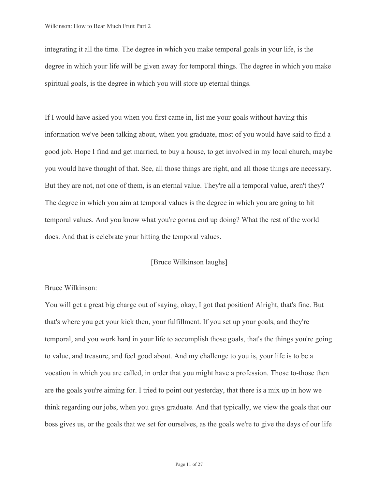integrating it all the time. The degree in which you make temporal goals in your life, is the degree in which your life will be given away for temporal things. The degree in which you make spiritual goals, is the degree in which you will store up eternal things.

If I would have asked you when you first came in, list me your goals without having this information we've been talking about, when you graduate, most of you would have said to find a good job. Hope I find and get married, to buy a house, to get involved in my local church, maybe you would have thought of that. See, all those things are right, and all those things are necessary. But they are not, not one of them, is an eternal value. They're all a temporal value, aren't they? The degree in which you aim at temporal values is the degree in which you are going to hit temporal values. And you know what you're gonna end up doing? What the rest of the world does. And that is celebrate your hitting the temporal values.

# [Bruce Wilkinson laughs]

# Bruce Wilkinson:

You will get a great big charge out of saying, okay, I got that position! Alright, that's fine. But that's where you get your kick then, your fulfillment. If you set up your goals, and they're temporal, and you work hard in your life to accomplish those goals, that's the things you're going to value, and treasure, and feel good about. And my challenge to you is, your life is to be a vocation in which you are called, in order that you might have a profession. Those to-those then are the goals you're aiming for. I tried to point out yesterday, that there is a mix up in how we think regarding our jobs, when you guys graduate. And that typically, we view the goals that our boss gives us, or the goals that we set for ourselves, as the goals we're to give the days of our life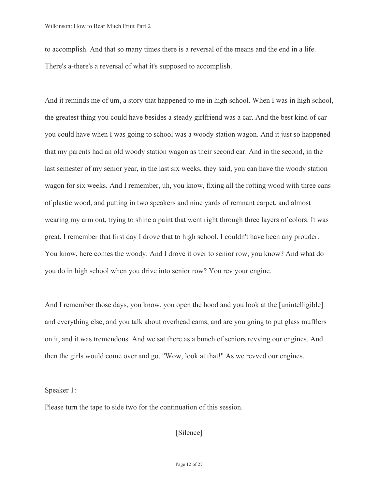to accomplish. And that so many times there is a reversal of the means and the end in a life. There's a-there's a reversal of what it's supposed to accomplish.

And it reminds me of um, a story that happened to me in high school. When I was in high school, the greatest thing you could have besides a steady girlfriend was a car. And the best kind of car you could have when I was going to school was a woody station wagon. And it just so happened that my parents had an old woody station wagon as their second car. And in the second, in the last semester of my senior year, in the last six weeks, they said, you can have the woody station wagon for six weeks. And I remember, uh, you know, fixing all the rotting wood with three cans of plastic wood, and putting in two speakers and nine yards of remnant carpet, and almost wearing my arm out, trying to shine a paint that went right through three layers of colors. It was great. I remember that first day I drove that to high school. I couldn't have been any prouder. You know, here comes the woody. And I drove it over to senior row, you know? And what do you do in high school when you drive into senior row? You rev your engine.

And I remember those days, you know, you open the hood and you look at the [unintelligible] and everything else, and you talk about overhead cams, and are you going to put glass mufflers on it, and it was tremendous. And we sat there as a bunch of seniors revving our engines. And then the girls would come over and go, "Wow, look at that!" As we revved our engines.

Speaker 1:

Please turn the tape to side two for the continuation of this session.

[Silence]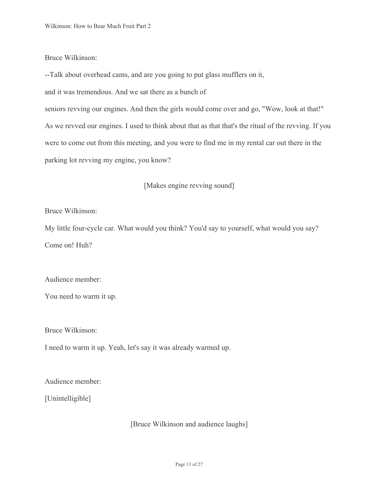# Bruce Wilkinson:

Bruce Wilkinson:<br>--Talk about overhead cams, and are you going to put glass mufflers on it,

and it was tremendous. And we sat there as a bunch of

 seniors revving our engines. And then the girls would come over and go, "Wow, look at that!" As we revved our engines. I used to think about that as that that's the ritual of the revving. If you parking lot revving my engine, you know?<br>[Makes engine revving sound] were to come out from this meeting, and you were to find me in my rental car out there in the

Bruce Wilkinson:

Bruce Wilkinson:<br>My little four-cycle car. What would you think? You'd say to yourself, what would you say? Come on! Huh?

Audience member:

You need to warm it up.

Bruce Wilkinson:

I need to warm it up. Yeah, let's say it was already warmed up.

Audience member:<br>[Unintelligible]

[Bruce Wilkinson and audience laughs]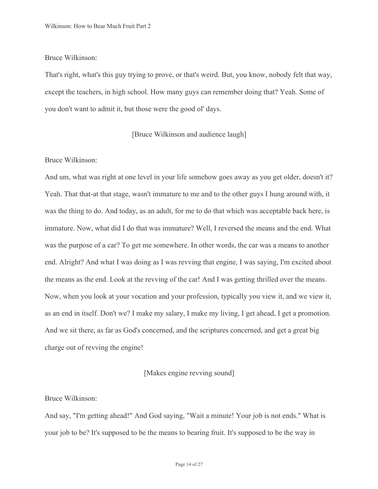# Bruce Wilkinson:

 you don't want to admit it, but those were the good ol' days. That's right, what's this guy trying to prove, or that's weird. But, you know, nobody felt that way, except the teachers, in high school. How many guys can remember doing that? Yeah. Some of

# [Bruce Wilkinson and audience laugh]

# Bruce Wilkinson:

And um, what was right at one level in your life somehow goes away as you get older, doesn't it? Yeah. That that-at that stage, wasn't immature to me and to the other guys I hung around with, it was the thing to do. And today, as an adult, for me to do that which was acceptable back here, is immature. Now, what did I do that was immature? Well, I reversed the means and the end. What was the purpose of a car? To get me somewhere. In other words, the car was a means to another end. Alright? And what I was doing as I was revving that engine, I was saying, I'm excited about the means as the end. Look at the revving of the car! And I was getting thrilled over the means. Now, when you look at your vocation and your profession, typically you view it, and we view it, as an end in itself. Don't we? I make my salary, I make my living, I get ahead, I get a promotion. And we sit there, as far as God's concerned, and the scriptures concerned, and get a great big charge out of revving the engine!

# [Makes engine revving sound]

#### Bruce Wilkinson:

And say, "I'm getting ahead!" And God saying, "Wait a minute! Your job is not ends." What is your job to be? It's supposed to be the means to bearing fruit. It's supposed to be the way in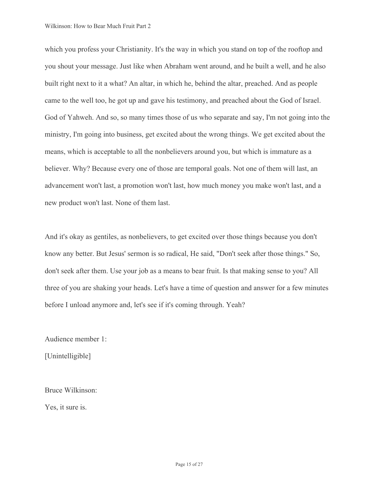which you profess your Christianity. It's the way in which you stand on top of the rooftop and you shout your message. Just like when Abraham went around, and he built a well, and he also built right next to it a what? An altar, in which he, behind the altar, preached. And as people came to the well too, he got up and gave his testimony, and preached about the God of Israel. God of Yahweh. And so, so many times those of us who separate and say, I'm not going into the ministry, I'm going into business, get excited about the wrong things. We get excited about the means, which is acceptable to all the nonbelievers around you, but which is immature as a believer. Why? Because every one of those are temporal goals. Not one of them will last, an advancement won't last, a promotion won't last, how much money you make won't last, and a new product won't last. None of them last.

And it's okay as gentiles, as nonbelievers, to get excited over those things because you don't know any better. But Jesus' sermon is so radical, He said, "Don't seek after those things." So, don't seek after them. Use your job as a means to bear fruit. Is that making sense to you? All three of you are shaking your heads. Let's have a time of question and answer for a few minutes before I unload anymore and, let's see if it's coming through. Yeah?

Audience member 1:<br>[Unintelligible]

Bruce Wilkinson: Yes, it sure is.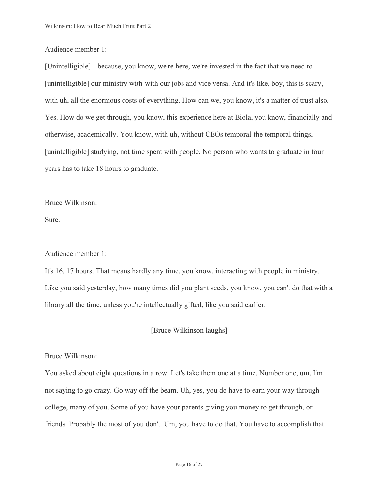# Audience member 1:

[Unintelligible] --because, you know, we're here, we're invested in the fact that we need to [unintelligible] our ministry with-with our jobs and vice versa. And it's like, boy, this is scary, with uh, all the enormous costs of everything. How can we, you know, it's a matter of trust also. Yes. How do we get through, you know, this experience here at Biola, you know, financially and otherwise, academically. You know, with uh, without CEOs temporal-the temporal things, [unintelligible] studying, not time spent with people. No person who wants to graduate in four years has to take 18 hours to graduate.

Bruce Wilkinson: Sure.

#### Audience member 1:

It's 16, 17 hours. That means hardly any time, you know, interacting with people in ministry. Like you said yesterday, how many times did you plant seeds, you know, you can't do that with a library all the time, unless you're intellectually gifted, like you said earlier.

# [Bruce Wilkinson laughs]

# Bruce Wilkinson:

You asked about eight questions in a row. Let's take them one at a time. Number one, um, I'm not saying to go crazy. Go way off the beam. Uh, yes, you do have to earn your way through college, many of you. Some of you have your parents giving you money to get through, or friends. Probably the most of you don't. Um, you have to do that. You have to accomplish that.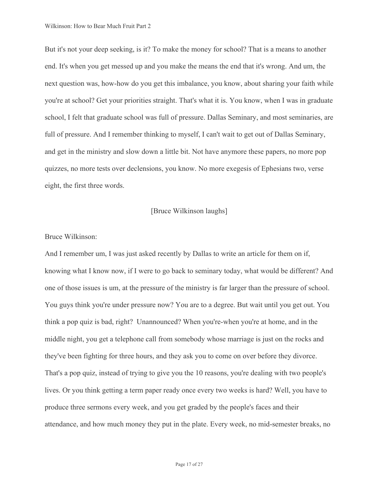But it's not your deep seeking, is it? To make the money for school? That is a means to another end. It's when you get messed up and you make the means the end that it's wrong. And um, the next question was, how-how do you get this imbalance, you know, about sharing your faith while you're at school? Get your priorities straight. That's what it is. You know, when I was in graduate school, I felt that graduate school was full of pressure. Dallas Seminary, and most seminaries, are full of pressure. And I remember thinking to myself, I can't wait to get out of Dallas Seminary, and get in the ministry and slow down a little bit. Not have anymore these papers, no more pop quizzes, no more tests over declensions, you know. No more exegesis of Ephesians two, verse eight, the first three words.

# [Bruce Wilkinson laughs]

## Bruce Wilkinson:

And I remember um, I was just asked recently by Dallas to write an article for them on if, knowing what I know now, if I were to go back to seminary today, what would be different? And one of those issues is um, at the pressure of the ministry is far larger than the pressure of school. You guys think you're under pressure now? You are to a degree. But wait until you get out. You think a pop quiz is bad, right? Unannounced? When you're-when you're at home, and in the middle night, you get a telephone call from somebody whose marriage is just on the rocks and they've been fighting for three hours, and they ask you to come on over before they divorce. That's a pop quiz, instead of trying to give you the 10 reasons, you're dealing with two people's lives. Or you think getting a term paper ready once every two weeks is hard? Well, you have to produce three sermons every week, and you get graded by the people's faces and their attendance, and how much money they put in the plate. Every week, no mid-semester breaks, no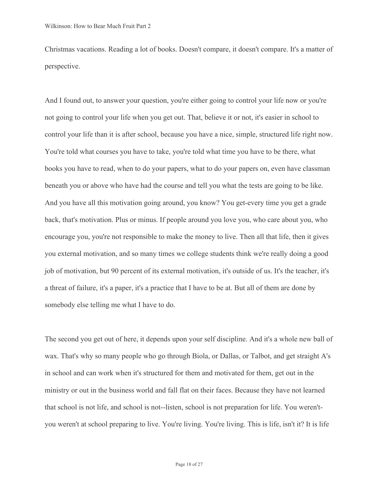Christmas vacations. Reading a lot of books. Doesn't compare, it doesn't compare. It's a matter of perspective.

And I found out, to answer your question, you're either going to control your life now or you're not going to control your life when you get out. That, believe it or not, it's easier in school to control your life than it is after school, because you have a nice, simple, structured life right now. You're told what courses you have to take, you're told what time you have to be there, what books you have to read, when to do your papers, what to do your papers on, even have classman beneath you or above who have had the course and tell you what the tests are going to be like. And you have all this motivation going around, you know? You get-every time you get a grade back, that's motivation. Plus or minus. If people around you love you, who care about you, who encourage you, you're not responsible to make the money to live. Then all that life, then it gives you external motivation, and so many times we college students think we're really doing a good job of motivation, but 90 percent of its external motivation, it's outside of us. It's the teacher, it's a threat of failure, it's a paper, it's a practice that I have to be at. But all of them are done by somebody else telling me what I have to do.

The second you get out of here, it depends upon your self discipline. And it's a whole new ball of wax. That's why so many people who go through Biola, or Dallas, or Talbot, and get straight A's in school and can work when it's structured for them and motivated for them, get out in the ministry or out in the business world and fall flat on their faces. Because they have not learned that school is not life, and school is not--listen, school is not preparation for life. You weren'tyou weren't at school preparing to live. You're living. You're living. This is life, isn't it? It is life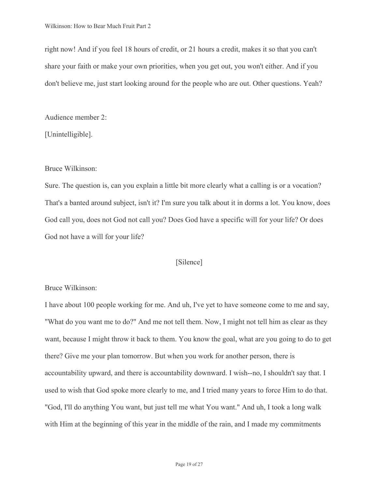right now! And if you feel 18 hours of credit, or 21 hours a credit, makes it so that you can't share your faith or make your own priorities, when you get out, you won't either. And if you don't believe me, just start looking around for the people who are out. Other questions. Yeah?

Audience member 2: [Unintelligible].

# Bruce Wilkinson:

God not have a will for your life?<br>[Silence] Sure. The question is, can you explain a little bit more clearly what a calling is or a vocation? That's a banted around subject, isn't it? I'm sure you talk about it in dorms a lot. You know, does God call you, does not God not call you? Does God have a specific will for your life? Or does

# Bruce Wilkinson:

I have about 100 people working for me. And uh, I've yet to have someone come to me and say, "What do you want me to do?" And me not tell them. Now, I might not tell him as clear as they want, because I might throw it back to them. You know the goal, what are you going to do to get there? Give me your plan tomorrow. But when you work for another person, there is accountability upward, and there is accountability downward. I wish--no, I shouldn't say that. I used to wish that God spoke more clearly to me, and I tried many years to force Him to do that. "God, I'll do anything You want, but just tell me what You want." And uh, I took a long walk with Him at the beginning of this year in the middle of the rain, and I made my commitments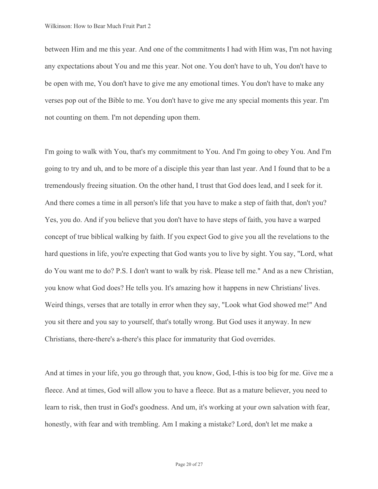between Him and me this year. And one of the commitments I had with Him was, I'm not having any expectations about You and me this year. Not one. You don't have to uh, You don't have to be open with me, You don't have to give me any emotional times. You don't have to make any verses pop out of the Bible to me. You don't have to give me any special moments this year. I'm not counting on them. I'm not depending upon them.

I'm going to walk with You, that's my commitment to You. And I'm going to obey You. And I'm going to try and uh, and to be more of a disciple this year than last year. And I found that to be a tremendously freeing situation. On the other hand, I trust that God does lead, and I seek for it. And there comes a time in all person's life that you have to make a step of faith that, don't you? Yes, you do. And if you believe that you don't have to have steps of faith, you have a warped concept of true biblical walking by faith. If you expect God to give you all the revelations to the hard questions in life, you're expecting that God wants you to live by sight. You say, "Lord, what do You want me to do? P.S. I don't want to walk by risk. Please tell me." And as a new Christian, you know what God does? He tells you. It's amazing how it happens in new Christians' lives. Weird things, verses that are totally in error when they say, "Look what God showed me!" And you sit there and you say to yourself, that's totally wrong. But God uses it anyway. In new Christians, there-there's a-there's this place for immaturity that God overrides.

And at times in your life, you go through that, you know, God, I-this is too big for me. Give me a fleece. And at times, God will allow you to have a fleece. But as a mature believer, you need to learn to risk, then trust in God's goodness. And um, it's working at your own salvation with fear, honestly, with fear and with trembling. Am I making a mistake? Lord, don't let me make a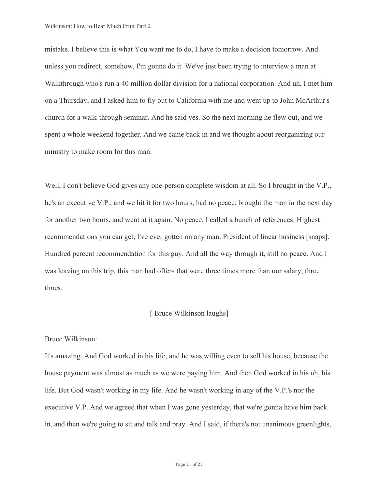mistake. I believe this is what You want me to do, I have to make a decision tomorrow. And unless you redirect, somehow, I'm gonna do it. We've just been trying to interview a man at Walkthrough who's run a 40 million dollar division for a national corporation. And uh, I met him on a Thursday, and I asked him to fly out to California with me and went up to John McArthur's church for a walk-through seminar. And he said yes. So the next morning he flew out, and we spent a whole weekend together. And we came back in and we thought about reorganizing our ministry to make room for this man.

Well, I don't believe God gives any one-person complete wisdom at all. So I brought in the V.P., he's an executive V.P., and we hit it for two hours, had no peace, brought the man in the next day for another two hours, and went at it again. No peace. I called a bunch of references. Highest recommendations you can get, I've ever gotten on any man. President of linear business [snaps]. Hundred percent recommendation for this guy. And all the way through it, still no peace. And I was leaving on this trip, this man had offers that were three times more than our salary, three times.

# [ Bruce Wilkinson laughs]

#### Bruce Wilkinson:

It's amazing. And God worked in his life, and he was willing even to sell his house, because the house payment was almost as much as we were paying him. And then God worked in his uh, his life. But God wasn't working in my life. And he wasn't working in any of the V.P.'s nor the executive V.P. And we agreed that when I was gone yesterday, that we're gonna have him back in, and then we're going to sit and talk and pray. And I said, if there's not unanimous greenlights,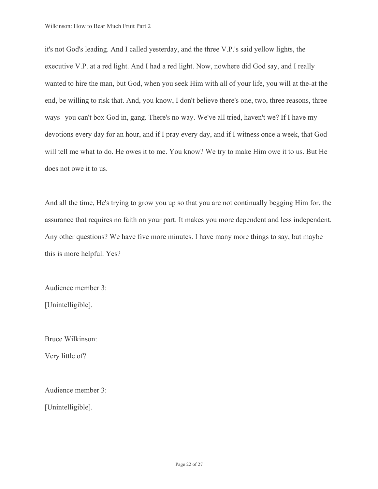it's not God's leading. And I called yesterday, and the three V.P.'s said yellow lights, the executive V.P. at a red light. And I had a red light. Now, nowhere did God say, and I really wanted to hire the man, but God, when you seek Him with all of your life, you will at the-at the end, be willing to risk that. And, you know, I don't believe there's one, two, three reasons, three ways--you can't box God in, gang. There's no way. We've all tried, haven't we? If I have my devotions every day for an hour, and if I pray every day, and if I witness once a week, that God will tell me what to do. He owes it to me. You know? We try to make Him owe it to us. But He does not owe it to us.

And all the time, He's trying to grow you up so that you are not continually begging Him for, the assurance that requires no faith on your part. It makes you more dependent and less independent. Any other questions? We have five more minutes. I have many more things to say, but maybe this is more helpful. Yes?

Audience member 3:

[Unintelligible].

Bruce Wilkinson: Very little of?

Audience member 3: [Unintelligible].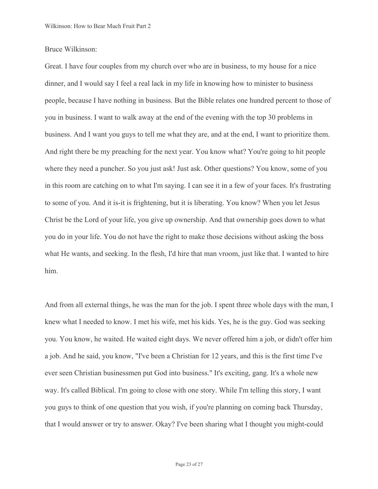## Bruce Wilkinson:

 And right there be my preaching for the next year. You know what? You're going to hit people Great. I have four couples from my church over who are in business, to my house for a nice dinner, and I would say I feel a real lack in my life in knowing how to minister to business people, because I have nothing in business. But the Bible relates one hundred percent to those of you in business. I want to walk away at the end of the evening with the top 30 problems in business. And I want you guys to tell me what they are, and at the end, I want to prioritize them. where they need a puncher. So you just ask! Just ask. Other questions? You know, some of you in this room are catching on to what I'm saying. I can see it in a few of your faces. It's frustrating to some of you. And it is-it is frightening, but it is liberating. You know? When you let Jesus Christ be the Lord of your life, you give up ownership. And that ownership goes down to what you do in your life. You do not have the right to make those decisions without asking the boss what He wants, and seeking. In the flesh, I'd hire that man vroom, just like that. I wanted to hire him.

And from all external things, he was the man for the job. I spent three whole days with the man, I knew what I needed to know. I met his wife, met his kids. Yes, he is the guy. God was seeking you. You know, he waited. He waited eight days. We never offered him a job, or didn't offer him a job. And he said, you know, "I've been a Christian for 12 years, and this is the first time I've ever seen Christian businessmen put God into business." It's exciting, gang. It's a whole new way. It's called Biblical. I'm going to close with one story. While I'm telling this story, I want you guys to think of one question that you wish, if you're planning on coming back Thursday, that I would answer or try to answer. Okay? I've been sharing what I thought you might-could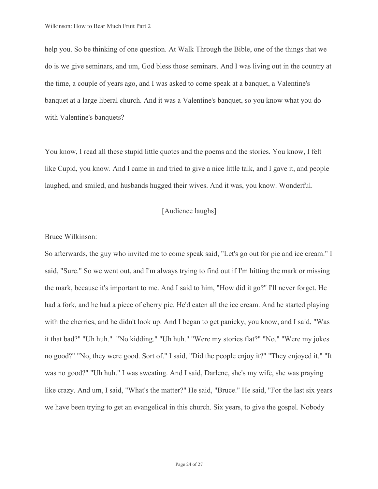with Valentine's banquets? help you. So be thinking of one question. At Walk Through the Bible, one of the things that we do is we give seminars, and um, God bless those seminars. And I was living out in the country at the time, a couple of years ago, and I was asked to come speak at a banquet, a Valentine's banquet at a large liberal church. And it was a Valentine's banquet, so you know what you do

You know, I read all these stupid little quotes and the poems and the stories. You know, I felt like Cupid, you know. And I came in and tried to give a nice little talk, and I gave it, and people laughed, and smiled, and husbands hugged their wives. And it was, you know. Wonderful.

[Audience laughs]

## Bruce Wilkinson:

So afterwards, the guy who invited me to come speak said, "Let's go out for pie and ice cream." I said, "Sure." So we went out, and I'm always trying to find out if I'm hitting the mark or missing the mark, because it's important to me. And I said to him, "How did it go?" I'll never forget. He had a fork, and he had a piece of cherry pie. He'd eaten all the ice cream. And he started playing with the cherries, and he didn't look up. And I began to get panicky, you know, and I said, "Was it that bad?" "Uh huh." "No kidding." "Uh huh." "Were my stories flat?" "No." "Were my jokes no good?" "No, they were good. Sort of." I said, "Did the people enjoy it?" "They enjoyed it." "It was no good?" "Uh huh." I was sweating. And I said, Darlene, she's my wife, she was praying like crazy. And um, I said, "What's the matter?" He said, "Bruce." He said, "For the last six years we have been trying to get an evangelical in this church. Six years, to give the gospel. Nobody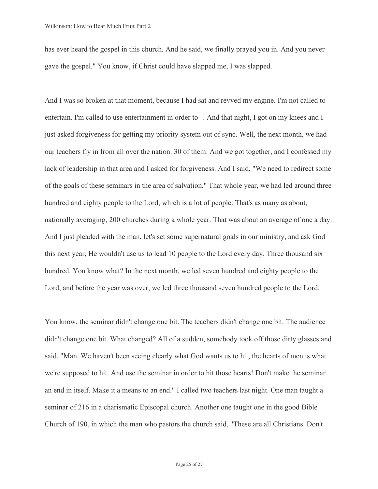has ever heard the gospel in this church. And he said, we finally prayed you in. And you never gave the gospel." You know, if Christ could have slapped me, I was slapped.

And I was so broken at that moment, because I had sat and revved my engine. I'm not called to entertain. I'm called to use entertainment in order to--. And that night, I got on my knees and I just asked forgiveness for getting my priority system out of sync. Well, the next month, we had our teachers fly in from all over the nation. 30 of them. And we got together, and I confessed my lack of leadership in that area and I asked for forgiveness. And I said, "We need to redirect some of the goals of these seminars in the area of salvation." That whole year, we had led around three hundred and eighty people to the Lord, which is a lot of people. That's as many as about, nationally averaging, 200 churches during a whole year. That was about an average of one a day. And I just pleaded with the man, let's set some supernatural goals in our ministry, and ask God this next year, He wouldn't use us to lead 10 people to the Lord every day. Three thousand six hundred. You know what? In the next month, we led seven hundred and eighty people to the Lord, and before the year was over, we led three thousand seven hundred people to the Lord.

You know, the seminar didn't change one bit. The teachers didn't change one bit. The audience didn't change one bit. What changed? All of a sudden, somebody took off those dirty glasses and said, "Man. We haven't been seeing clearly what God wants us to hit, the hearts of men is what we're supposed to hit. And use the seminar in order to hit those hearts! Don't make the seminar an end in itself. Make it a means to an end." I called two teachers last night. One man taught a seminar of 216 in a charismatic Episcopal church. Another one taught one in the good Bible Church of 190, in which the man who pastors the church said, "These are all Christians. Don't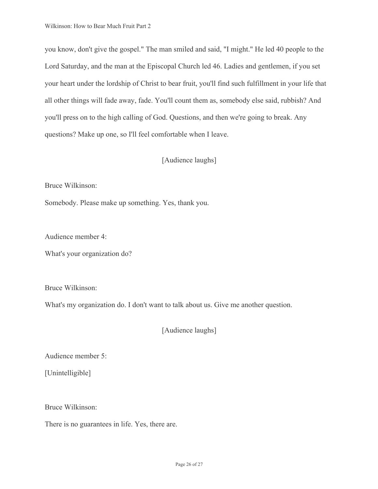you know, don't give the gospel." The man smiled and said, "I might." He led 40 people to the Lord Saturday, and the man at the Episcopal Church led 46. Ladies and gentlemen, if you set your heart under the lordship of Christ to bear fruit, you'll find such fulfillment in your life that all other things will fade away, fade. You'll count them as, somebody else said, rubbish? And you'll press on to the high calling of God. Questions, and then we're going to break. Any questions? Make up one, so I'll feel comfortable when I leave.

# [Audience laughs]

Bruce Wilkinson:

Somebody. Please make up something. Yes, thank you.

Audience member 4:

What's your organization do?

Bruce Wilkinson:

What's my organization do. I don't want to talk about us. Give me another question.

[Audience laughs]

Audience member 5:<br>[Unintelligible]

Bruce Wilkinson:

There is no guarantees in life. Yes, there are.